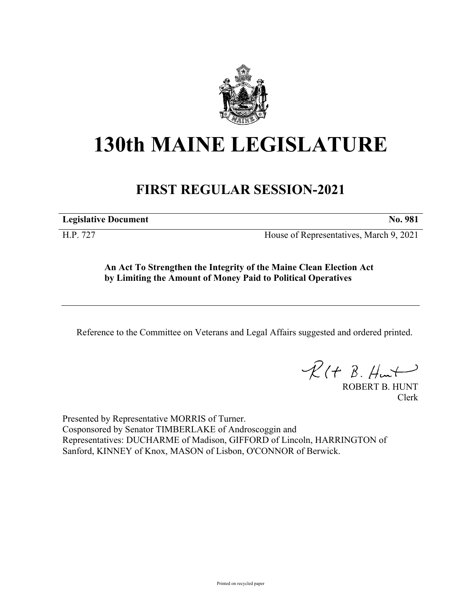

## **130th MAINE LEGISLATURE**

## **FIRST REGULAR SESSION-2021**

**Legislative Document No. 981**

H.P. 727 House of Representatives, March 9, 2021

**An Act To Strengthen the Integrity of the Maine Clean Election Act by Limiting the Amount of Money Paid to Political Operatives**

Reference to the Committee on Veterans and Legal Affairs suggested and ordered printed.

 $R(t B. Hmt)$ 

ROBERT B. HUNT Clerk

Presented by Representative MORRIS of Turner. Cosponsored by Senator TIMBERLAKE of Androscoggin and Representatives: DUCHARME of Madison, GIFFORD of Lincoln, HARRINGTON of Sanford, KINNEY of Knox, MASON of Lisbon, O'CONNOR of Berwick.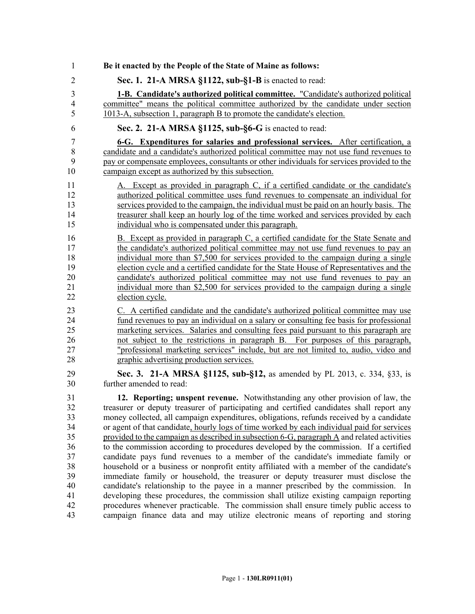| 1                       | Be it enacted by the People of the State of Maine as follows:                               |
|-------------------------|---------------------------------------------------------------------------------------------|
| $\overline{2}$          | Sec. 1. 21-A MRSA §1122, sub-§1-B is enacted to read:                                       |
| 3                       | <b>1-B.</b> Candidate's authorized political committee. "Candidate's authorized political   |
| $\overline{\mathbf{4}}$ | committee" means the political committee authorized by the candidate under section          |
| 5                       | 1013-A, subsection 1, paragraph B to promote the candidate's election.                      |
| 6                       | Sec. 2. 21-A MRSA §1125, sub-§6-G is enacted to read:                                       |
| 7                       | 6-G. Expenditures for salaries and professional services. After certification, a            |
| 8                       | candidate and a candidate's authorized political committee may not use fund revenues to     |
| 9                       | pay or compensate employees, consultants or other individuals for services provided to the  |
| 10                      | campaign except as authorized by this subsection.                                           |
| 11                      | A. Except as provided in paragraph C, if a certified candidate or the candidate's           |
| 12                      | authorized political committee uses fund revenues to compensate an individual for           |
| 13                      | services provided to the campaign, the individual must be paid on an hourly basis. The      |
| 14                      | treasurer shall keep an hourly log of the time worked and services provided by each         |
| 15                      | individual who is compensated under this paragraph.                                         |
| 16                      | B. Except as provided in paragraph C, a certified candidate for the State Senate and        |
| 17                      | the candidate's authorized political committee may not use fund revenues to pay an          |
| 18                      | individual more than \$7,500 for services provided to the campaign during a single          |
| 19                      | election cycle and a certified candidate for the State House of Representatives and the     |
| 20                      | candidate's authorized political committee may not use fund revenues to pay an              |
| 21                      | individual more than \$2,500 for services provided to the campaign during a single          |
| 22                      | election cycle.                                                                             |
| 23                      | C. A certified candidate and the candidate's authorized political committee may use         |
| 24                      | fund revenues to pay an individual on a salary or consulting fee basis for professional     |
| 25                      | marketing services. Salaries and consulting fees paid pursuant to this paragraph are        |
| 26                      | not subject to the restrictions in paragraph B. For purposes of this paragraph,             |
| 27                      | "professional marketing services" include, but are not limited to, audio, video and         |
| 28                      | graphic advertising production services.                                                    |
| 29                      | Sec. 3. 21-A MRSA §1125, sub-§12, as amended by PL 2013, c. 334, §33, is                    |
| 30                      | further amended to read:                                                                    |
| 31                      | 12. Reporting; unspent revenue. Notwithstanding any other provision of law, the             |
| 32                      | treasurer or deputy treasurer of participating and certified candidates shall report any    |
| 33                      | money collected, all campaign expenditures, obligations, refunds received by a candidate    |
| 34                      | or agent of that candidate, hourly logs of time worked by each individual paid for services |
| 35                      | provided to the campaign as described in subsection 6-G, paragraph A and related activities |
| 36                      | to the commission according to procedures developed by the commission. If a certified       |
| 37                      | candidate pays fund revenues to a member of the candidate's immediate family or             |
| 38                      | household or a business or nonprofit entity affiliated with a member of the candidate's     |
| 39                      | immediate family or household, the treasurer or deputy treasurer must disclose the          |
| 40                      | candidate's relationship to the payee in a manner prescribed by the commission. In          |
| 41                      | developing these procedures, the commission shall utilize existing campaign reporting       |
| 42                      | procedures whenever practicable. The commission shall ensure timely public access to        |
| 43                      | campaign finance data and may utilize electronic means of reporting and storing             |